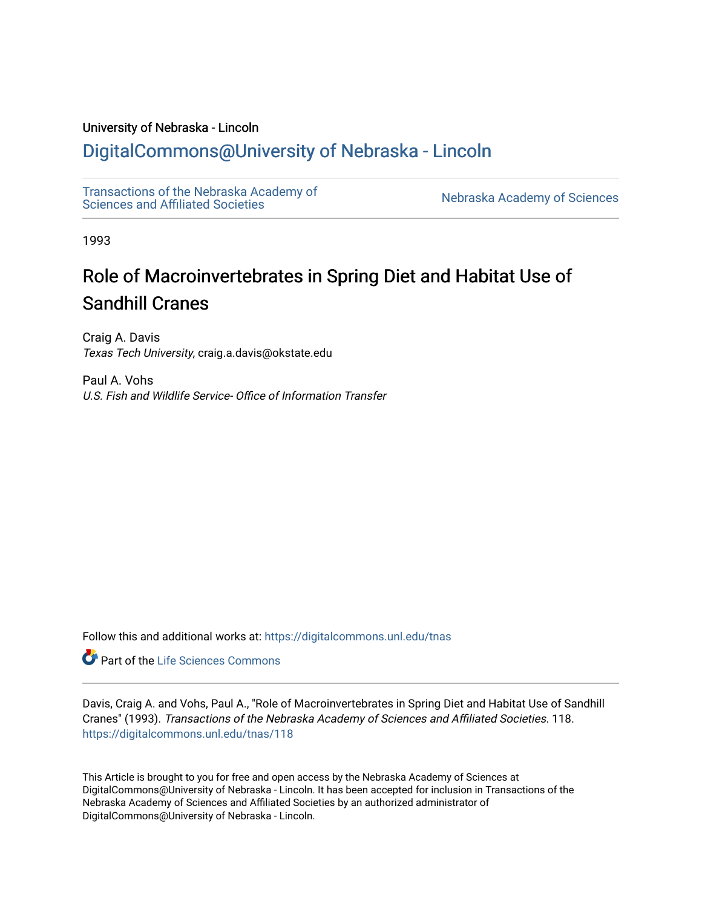## University of Nebraska - Lincoln

## [DigitalCommons@University of Nebraska - Lincoln](https://digitalcommons.unl.edu/)

[Transactions of the Nebraska Academy of](https://digitalcommons.unl.edu/tnas)  Transactions of the Nebraska Academy of Sciences<br>Sciences and Affiliated Societies

1993

# Role of Macroinvertebrates in Spring Diet and Habitat Use of Sandhill Cranes

Craig A. Davis Texas Tech University, craig.a.davis@okstate.edu

Paul A. Vohs U.S. Fish and Wildlife Service- Office of Information Transfer

Follow this and additional works at: [https://digitalcommons.unl.edu/tnas](https://digitalcommons.unl.edu/tnas?utm_source=digitalcommons.unl.edu%2Ftnas%2F118&utm_medium=PDF&utm_campaign=PDFCoverPages) 

**Part of the Life Sciences Commons** 

Davis, Craig A. and Vohs, Paul A., "Role of Macroinvertebrates in Spring Diet and Habitat Use of Sandhill Cranes" (1993). Transactions of the Nebraska Academy of Sciences and Affiliated Societies. 118. [https://digitalcommons.unl.edu/tnas/118](https://digitalcommons.unl.edu/tnas/118?utm_source=digitalcommons.unl.edu%2Ftnas%2F118&utm_medium=PDF&utm_campaign=PDFCoverPages) 

This Article is brought to you for free and open access by the Nebraska Academy of Sciences at DigitalCommons@University of Nebraska - Lincoln. It has been accepted for inclusion in Transactions of the Nebraska Academy of Sciences and Affiliated Societies by an authorized administrator of DigitalCommons@University of Nebraska - Lincoln.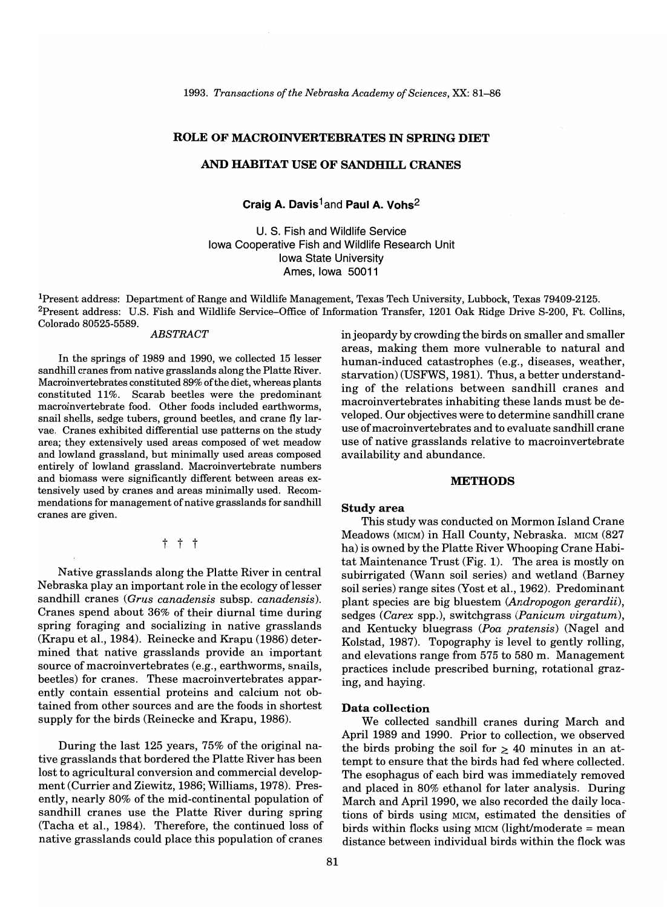## ROLE OF MACROINVERTEBRATES IN SPRING DIET

## AND HABITAT USE OF SANDHILL CRANES

Craig A. Davis<sup>1</sup> and Paul A. Vohs<sup>2</sup>

U. S. Fish and Wildlife Service Iowa Cooperative Fish and Wildlife Research Unit Iowa State University Ames, Iowa 50011

Ipresent address: Department of Range and Wildlife Management, Texas Tech University, Lubbock, Texas 79409-2125. 2Present address: U.S. Fish and Wildlife Service-Office of Information Transfer, 1201 Oak Ridge Drive S-200, Ft. Collins, Colorado 80525-5589.

#### *ABSTRACT*

In the springs of 1989 and 1990, we collected 15 lesser sandhill cranes from native grasslands along the Platte River. Macroinvertebrates constituted 89% of the diet, whereas plants constituted 11%. Scarab beetles were the predominant macroinvertebrate food. Other foods included earthworms, snail shells, sedge tubers, ground beetles, and crane fly larvae. Cranes exhibited differential use patterns on the study area; they extensively used areas composed of wet meadow and lowland grassland, but minimally used areas composed entirely of lowland grassland. Macroinvertebrate numbers and biomass were significantly different between areas extensively used by cranes and areas minimally used. Recommendations for management of native grasslands for sandhill cranes are given.

t t t

Native grasslands along the Platte River in central Nebraska play an important role in the ecology of lesser sandhill cranes *(Grus canadensis* subsp. *canadensis).*  Cranes spend about 36% of their diurnal time during spring foraging and socializing in native grasslands (Krapu et aI., 1984). Reinecke and Krapu (1986) determined that native grasslands provide an important source of macroinvertebrates (e.g., earthworms, snails, beetles) for cranes. These macroinvertebrates apparently contain essential proteins and calcium not obtained from other sources and are the foods in shortest supply for the birds (Reinecke and Krapu, 1986).

During the last 125 years, 75% of the original native grasslands that bordered the Platte River has been lost to agricultural conversion and commercial development (Currier and Ziewitz, 1986; Williams, 1978). Presently, nearly 80% of the mid-continental population of sandhill cranes use the Platte River during spring (Tacha et aI., 1984). Therefore, the continued loss of native grasslands could place this population of cranes in jeopardy by crowding the birds on smaller and smaller areas, making them more vulnerable to natural and human-induced catastrophes (e.g., diseases, weather, starvation) (USFWS, 1981). Thus, a better understanding of the relations between sandhill cranes and macroinvertebrates inhabiting these lands must be developed. Our objectives were to determine sandhill crane use of macroinvertebrates and to evaluate sandhill crane use of native grasslands relative to macroinvertebrate availability and abundance.

#### METHODS

#### Study area

This study was conducted on Mormon Island Crane Meadows (MICM) in Hall County, Nebraska. MICM (827 ha) is owned by the Platte River Whooping Crane Habitat Maintenance Trust (Fig. 1). The area is mostly on subirrigated (Wann soil series) and wetland (Barney soil series) range sites (Yost et aI., 1962). Predominant plant species are big bluestem *(Andropogon gerardii),*  sedges *(Carex* spp.), switchgrass *(Panicum virgatum),*  and Kentucky bluegrass *(Poa pratensis)* (Nagel and Kolstad, 1987). Topography is level to gently rolling, and elevations range from 575 to 580 m. Management practices include prescribed burning, rotational grazing, and haying.

#### Data collection

We collected sandhill cranes during March and April 1989 and 1990. Prior to collection, we observed the birds probing the soil for  $\geq$  40 minutes in an attempt to ensure that the birds had fed where collected. The esophagus of each bird was immediately removed and placed in 80% ethanol for later analysis. During March and April 1990, we also recorded the daily locations of birds using MICM, estimated the densities of birds within flocks using  $MIM$  (light/moderate = mean distance between individual birds within the flock was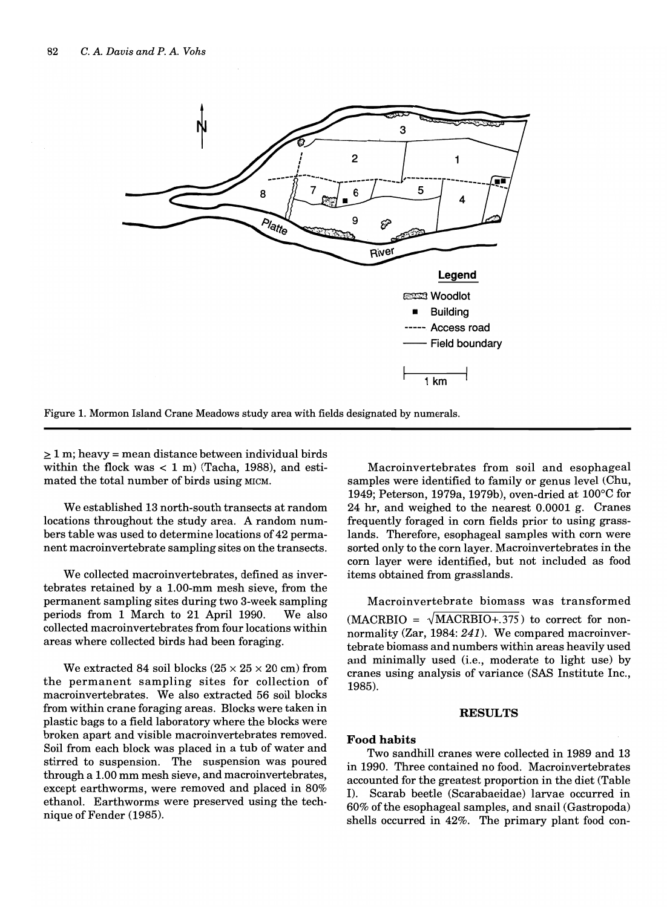

Figure 1. Mormon Island Crane Meadows study area with fields designated by numerals.

 $\geq 1$  m; heavy = mean distance between individual birds within the flock was  $< 1$  m) (Tacha, 1988), and estimated the total number of birds using MICM.

We established 13 north-south transects at random locations throughout the study area. A random numbers table was used to determine locations of 42 permanent macroinvertebrate sampling sites on the transects.

We collected macroinvertebrates, defined as invertebrates retained by a 1.00-mm mesh sieve, from the permanent sampling sites during two 3-week sampling periods from 1 March to 21 April 1990. We also collected macroinvertebrates from four locations within areas where collected birds had been foraging.

We extracted 84 soil blocks  $(25 \times 25 \times 20 \text{ cm})$  from the permanent sampling sites for collection of macroinvertebrates. We also extracted 56 soil blocks from within crane foraging areas. Blocks were taken in plastic bags to a field laboratory where the blocks were broken apart and visible macroinvertebrates removed. Soil from each block was placed in a tub of water and stirred to suspension. The suspension was poured through a 1.00 mm mesh sieve, and macroinvertebrates, except earthworms, were removed and placed in 80% ethanol. Earthworms were preserved using the technique of Fender (1985).

Macroinvertebrates from soil and esophageal samples were identified to family or genus level (Chu, 1949; Peterson, 1979a, 1979b), oven-dried at lOO°C for 24 hr, and weighed to the nearest 0.0001 g. Cranes frequently foraged in corn fields prior to using grasslands. Therefore, esophageal samples with corn were sorted only to the corn layer. Macroinvertebrates in the corn layer were identified, but not included as food items obtained from grasslands.

Macroinvertebrate biomass was transformed  $(MACRBIO = \sqrt{MACRBIO+0.375})$  to correct for nonnormality (Zar, 1984: 241). We compared macroinvertebrate biomass and numbers within areas heavily used and minimally used (i.e., moderate to light use) by cranes using analysis of variance (SAS Institute Inc., 1985).

#### RESULTS

## Food habits

Two sandhill cranes were collected in 1989 and 13 in 1990. Three contained no food. Macroinvertebrates accounted for the greatest proportion in the diet (Table I). Scarab beetle (Scarabaeidae) larvae occurred in 60% of the esophageal samples, and snail (Gastropoda) shells occurred in 42%. The primary plant food con-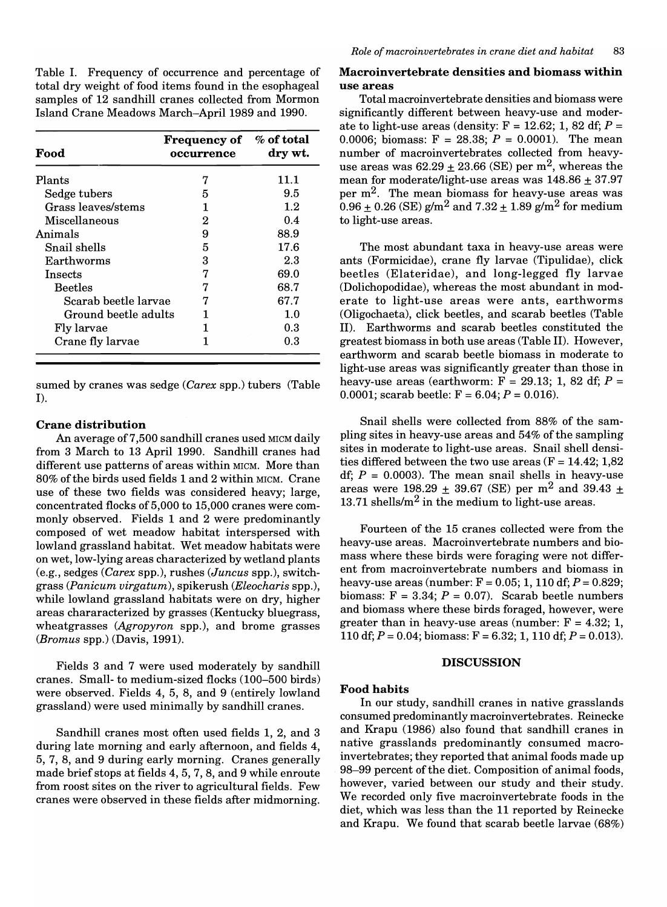Table I. Frequency of occurrence and percentage of total dry weight of food items found in the esophageal samples of 12 sandhill cranes collected from Mormon Island Crane Meadows March-April 1989 and 1990.

| Food                 | <b>Frequency of</b><br>occurrence | $\%$ of total<br>dry wt. |
|----------------------|-----------------------------------|--------------------------|
| Plants               | 7                                 | 11.1                     |
| Sedge tubers         | 5                                 | 9.5                      |
| Grass leaves/stems   |                                   | $1.2\,$                  |
| Miscellaneous        | 2                                 | 0.4                      |
| Animals              | 9                                 | 88.9                     |
| Snail shells         | 5                                 | 17.6                     |
| Earthworms           | 3                                 | 23                       |
| Insects              | 7                                 | 69.0                     |
| <b>Beetles</b>       |                                   | 68.7                     |
| Scarab beetle larvae |                                   | 67.7                     |
| Ground beetle adults |                                   | 1.0                      |
| Fly larvae           |                                   | 0.3                      |
| Crane fly larvae     |                                   | 0.3                      |

sumed by cranes was sedge *(Carex* spp.) tubers (Table  $I$ ).

## Crane distribution

An average of 7,500 sandhill cranes used MICM daily from 3 March to 13 April 1990. Sandhill cranes had different use patterns of areas within MICM. More than 80% of the birds used fields 1 and 2 within MICM. Crane use of these two fields was considered heavy; large, concentrated flocks of 5,000 to 15,000 cranes were commonly observed. Fields 1 and 2 were predominantly composed of wet meadow habitat interspersed with lowland grassland habitat. Wet meadow habitats were on wet, low-lying areas characterized by wetland plants (e.g., sedges *(Carex* spp.), rushes *(Juncus* spp.), switchgrass *(Panicum virgatum),* spikerush *(Eleocharis* spp.), while lowland grassland habitats were on dry, higher areas chararacterized by grasses (Kentucky bluegrass, wheatgrasses *(Agropyron* spp.), and brome grasses *(Bromus* spp.) (Davis, 1991).

Fields 3 and 7 were used moderately by sandhill cranes. Small- to medium-sized flocks (100-500 birds) were observed. Fields 4, 5, 8, and 9 (entirely lowland grassland) were used minimally by sandhill cranes.

Sandhill cranes most often used fields 1, 2, and 3 during late morning and early afternoon, and fields 4, 5, 7, 8, and 9 during early morning. Cranes generally made brief stops at fields 4, 5, 7, 8, and 9 while enroute from roost sites on the river to agricultural fields. Few cranes were observed in these fields after midmorning.

## Macroinvertebrate densities and biomass within use areas

Total macroinvertebrate densities and biomass were significantly different between heavy-use and moderate to light-use areas (density:  $F = 12.62$ ; 1, 82 df;  $P =$ 0.0006; biomass:  $F = 28.38$ ;  $P = 0.0001$ ). The mean number of macroinvertebrates collected from heavyuse areas was  $62.29 \pm 23.66$  (SE) per m<sup>2</sup>, whereas the mean for moderate/light-use areas was  $148.86 \pm 37.97$ per  $m^2$ . The mean biomass for heavy-use areas was  $0.96 \pm 0.26$  (SE) g/m<sup>2</sup> and  $7.32 \pm 1.89$  g/m<sup>2</sup> for medium to light-use areas.

The most abundant taxa in heavy-use areas were ants (Formicidae), crane fly larvae (Tipulidae), click beetles (Elateridae), and long-legged fly larvae (Dolichopodidae), whereas the most abundant in moderate to light-use areas were ants, earthworms (Oligochaeta), click beetles, and scarab beetles (Table II). Earthworms and scarab beetles constituted the greatest biomass in both use areas (Table II). However, earthworm and scarab beetle biomass in moderate to light-use areas was significantly greater than those in heavy-use areas (earthworm:  $F = 29.13$ ; 1, 82 df;  $P =$ 0.0001; scarab beetle:  $F = 6.04; P = 0.016$ .

Snail shells were collected from 88% of the sampling sites in heavy-use areas and  $54\%$  of the sampling sites in moderate to light-use areas. Snail shell densities differed between the two use areas  $(F = 14.42; 1.82)$ df;  $P = 0.0003$ ). The mean snail shells in heavy-use areas were 198.29  $\pm$  39.67 (SE) per m<sup>2</sup> and 39.43  $\pm$ 13.71 shells/ $m^2$  in the medium to light-use areas.

Fourteen of the 15 cranes collected were from the heavy-use areas. Macroinvertebrate numbers and biomass where these birds were foraging were not different from macroinvertebrate numbers and biomass in heavy-use areas (number:  $F = 0.05; 1, 110 df; P = 0.829;$ biomass:  $F = 3.34$ ;  $P = 0.07$ ). Scarab beetle numbers and biomass where these birds foraged, however, were greater than in heavy-use areas (number:  $F = 4.32; 1$ , 110 df;  $P = 0.04$ ; biomass:  $F = 6.32$ ; 1, 110 df;  $P = 0.013$ ).

## DISCUSSION

#### Food habits

In our study, sandhill cranes in native grasslands consumed predominantly macroinvertebrates. Reinecke and Krapu (1986) also found that sandhill cranes in native grasslands predominantly consumed macroinvertebrates; they reported that animal foods made up 98-99 percent of the diet. Composition of animal foods, however, varied between our study and their study. We recorded only five macroinvertebrate foods in the diet, which was less than the 11 reported by Reinecke and Krapu. We found that scarab beetle larvae (68%)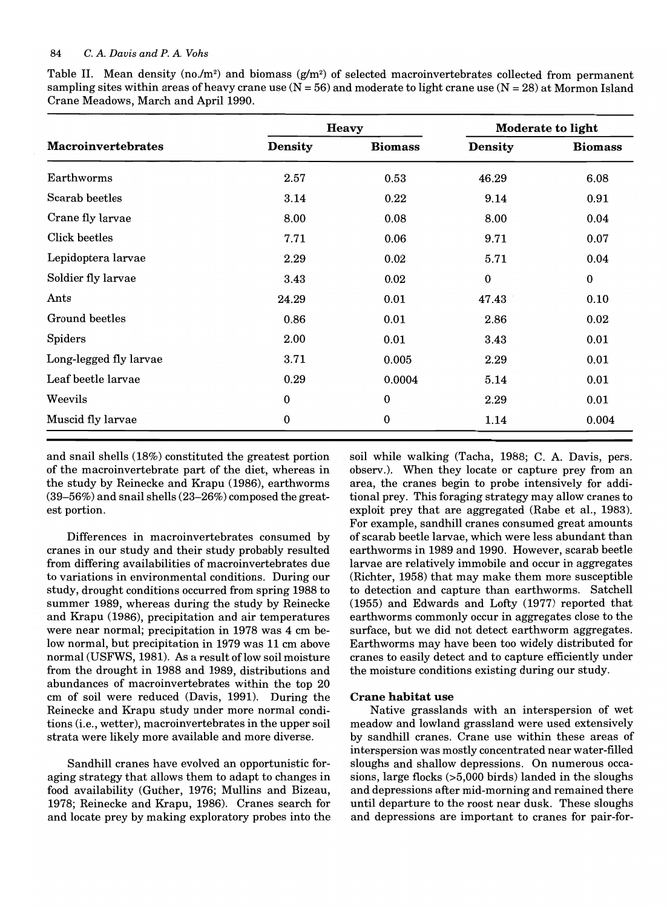## 84 C. *A. Davis and P. A. Vaks*

Table II. Mean density (no./m<sup>2</sup>) and biomass ( $g/m^2$ ) of selected macroinvertebrates collected from permanent sampling sites within areas of heavy crane use  $(N = 56)$  and moderate to light crane use  $(N = 28)$  at Mormon Island Crane Meadows, March and April 1990.

| <b>Macroinvertebrates</b> | <b>Heavy</b>     |                | <b>Moderate to light</b> |                |
|---------------------------|------------------|----------------|--------------------------|----------------|
|                           | <b>Density</b>   | <b>Biomass</b> | <b>Density</b>           | <b>Biomass</b> |
| Earthworms                | 2.57             | 0.53           | 46.29                    | 6.08           |
| Scarab beetles            | 3.14             | 0.22           | 9.14                     | 0.91           |
| Crane fly larvae          | 8.00             | 0.08           | 8.00                     | 0.04           |
| Click beetles             | 7.71             | 0.06           | 9.71                     | 0.07           |
| Lepidoptera larvae        | 2.29             | 0.02           | 5.71                     | 0.04           |
| Soldier fly larvae        | 3.43             | 0.02           | $\bf{0}$                 | 0              |
| Ants                      | 24.29            | 0.01           | 47.43                    | 0.10           |
| Ground beetles            | 0.86             | 0.01           | 2.86                     | 0.02           |
| Spiders                   | 2.00             | 0.01           | 3.43                     | 0.01           |
| Long-legged fly larvae    | 3.71             | 0.005          | 2.29                     | 0.01           |
| Leaf beetle larvae        | 0.29             | 0.0004         | 5.14                     | 0.01           |
| Weevils                   | $\boldsymbol{0}$ | $\bf{0}$       | 2.29                     | 0.01           |
| Muscid fly larvae         | $\bf{0}$         | 0              | 1.14                     | 0.004          |

and snail shells (18%) constituted the greatest portion of the macroinvertebrate part of the diet, whereas in the study by Reinecke and Krapu (1986), earthworms (39-56%) and snail shells (23-26%) composed the greatest portion.

Differences in macroinvertebrates consumed by cranes in our study and their study probably resulted from differing availabilities of macroinvertebrates due to variations in environmental conditions. During our study, drought conditions occurred from spring 1988 to summer 1989, whereas during the study by Reinecke and Krapu (1986), precipitation and air temperatures were near normal; precipitation in 1978 was 4 cm below normal, but precipitation in 1979 was 11 cm above normal (USFWS, 1981). As a result of low soil moisture from the drought in 1988 and 1989, distributions and abundances of macroinvertebrates within the top 20 cm of soil were reduced (Davis, 1991). During the Reinecke and Krapu study under more normal conditions (i.e., wetter), macroinvertebrates in the upper soil strata were likely more available and more diverse.

Sandhill cranes have evolved an opportunistic foraging strategy that allows them to adapt to changes in food availability (Guther, 1976; Mullins and Bizeau, 1978; Reinecke and Krapu, 1986). Cranes search for and locate prey by making exploratory probes into the

soil while walking (Tacha, 1988; C. A. Davis, pers. observ.). When they locate or capture prey from an area, the cranes begin to probe intensively for additional prey. This foraging strategy may allow cranes to exploit prey that are aggregated (Rabe et aI., 1983). For example, sandhill cranes consumed great amounts of scarab beetle larvae, which were less abundant than earthworms in 1989 and 1990. However, scarab beetle larvae are relatively immobile and occur in aggregates (Richter, 1958) that may make them more susceptible to detection and capture than earthworms. Satchell (1955) and Edwards and Lofty (1977) reported that earthworms commonly occur in aggregates close to the surface, but we did not detect earthworm aggregates. Earthworms may have been too widely distributed for cranes to easily detect and to capture efficiently under the moisture conditions existing during our study.

## Crane habitat use

Native grasslands with an interspersion of wet meadow and lowland grassland were used extensively by sandhill cranes. Crane use within these areas of interspersion was mostly concentrated near water-filled sloughs and shallow depressions. On numerous occasions, large flocks (>5,000 birds) landed in the sloughs and depressions after mid-morning and remained there until departure to the roost near dusk. These sloughs and depressions are important to cranes for pair-for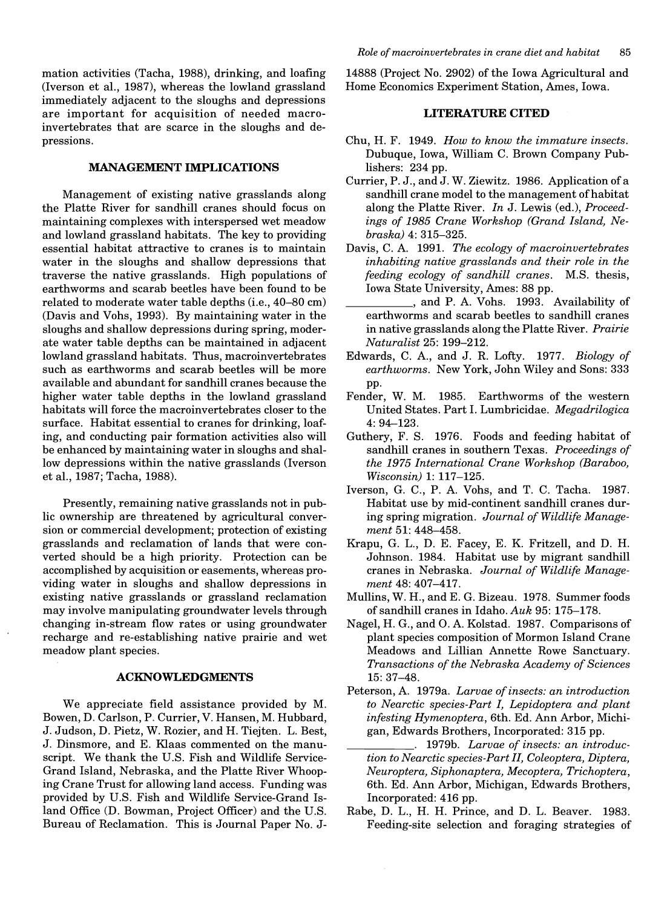mation activities (Tacha, 1988), drinking, and loafing (Iverson et aI., 1987), whereas the lowland grassland immediately adjacent to the sloughs and depressions are important for acquisition of needed macroinvertebrates that are scarce in the sloughs and depressions.

## **MANAGEMENT IMPLICATIONS**

Management of existing native grasslands along the Platte River for sandhill cranes should focus on maintaining complexes with interspersed wet meadow and lowland grassland habitats. The key to providing essential habitat attractive to cranes is to maintain water in the sloughs and shallow depressions that traverse the native grasslands. High populations of earthworms and scarab beetles have been found to be related to moderate water table depths (i.e., 40-80 cm) (Davis and Vohs, 1993). By maintaining water in the sloughs and shallow depressions during spring, moderate water table depths can be maintained in adjacent lowland grassland habitats. Thus, macroinvertebrates such as earthworms and scarab beetles will be more available and abundant for sandhill cranes because the higher water table depths in the lowland grassland habitats will force the macroinvertebrates closer to the surface. Habitat essential to cranes for drinking, loafing, and conducting pair formation activities also will be enhanced by maintaining water in sloughs and shallow depressions within the native grasslands (Iverson et aI., 1987; Tacha, 1988).

Presently, remaining native grasslands not in public ownership are threatened by agricultural conversion or commercial development; protection of existing grasslands and reclamation of lands that were converted should be a high priority. Protection can be accomplished by acquisition or easements, whereas providing water in sloughs and shallow depressions in existing native grasslands or grassland reclamation may involve manipulating groundwater levels through changing in-stream flow rates or using groundwater recharge and re-establishing native prairie and wet meadow plant species.

## **ACKNOWLEDGMENTS**

We appreciate field assistance provided by M. Bowen, D. Carlson, P. Currier, V. Hansen, M. Hubbard, J. Judson, D. Pietz, W. Rozier, and H. Tiejten. L. Best, J. Dinsmore, and E. Klaas commented on the manuscript. We thank the U.S. Fish and Wildlife Service-Grand Island, Nebraska, and the Platte River Whooping Crane Trust for allowing land access. Funding was provided by U.S. Fish and Wildlife Service-Grand Island Office (D. Bowman, Project Officer) and the U.S. Bureau of Reclamation. This is Journal Paper No. J- 14888 (Project No. 2902) of the Iowa Agricultural and Home Economics Experiment Station, Ames, Iowa.

## **LITERATURE CITED**

- Chu, H. F. 1949. *How to know the immature insects.*  Dubuque, Iowa, William C. Brown Company Publishers: 234 pp.
- Currier, P. J., and J. W. Ziewitz. 1986. Application of a sandhill crane model to the management of habitat along the Platte River. *In* J. Lewis (ed.), *Proceedings of* 1985 *Crane Workshop (Grand Island, Nebraska)* 4: 315-325.
- Davis, C. A. 1991. *The ecology of macroinvertebrates inhabiting native grasslands and their role in the feeding ecology of sandhill cranes.* M.S. thesis, Iowa State University, Ames: 88 pp.
- \_\_\_\_\_ , and P. A. Vohs. 1993. Availability of earthworms and scarab beetles to sandhill cranes in native grasslands along the Platte River. *Prairie Naturalist* 25: 199-212.
- Edwards, C. A., and J. R. Lofty. 1977. *Biology of earthworms.* New York, John Wiley and Sons: 333 pp.
- Fender, W. M. 1985. Earthworms of the western United States. Part I. Lumbricidae. *Megadrilogica*  4: 94-123.
- Guthery, F. S. 1976. Foods and feeding habitat of sandhill cranes in southern Texas. *Proceedings of the* 1975 *International Crane Workshop (Baraboo, Wisconsin)* 1: 117-125.
- Iverson, G. C., P. A. Vohs, and T. C. Tacha. 1987. Habitat use by mid-continent sandhill cranes during spring migration. *Journal of Wildlife Management* 51: 448-458.
- Krapu, G. L., D. E. Facey, E. K. Fritzell, and D. H. Johnson. 1984. Habitat use by migrant sandhill cranes in Nebraska. *Journal of Wildlife Management* 48: 407-417.
- Mullins, W. H., and E. G. Bizeau. 1978. Summer foods of sandhill cranes in Idaho. *Auk* 95: 175-178.
- Nagel, H. G., and O. A. Kolstad. 1987. Comparisons of plant species composition of Mormon Island Crane Meadows and Lillian Annette Rowe Sanctuary. *Transactions of the Nebraska Academy of Sciences*  15: 37-48.
- Peterson, A. 1979a. *Larvae of insects: an introduction to Nearctic species-Part I, Lepidoptera and plant infesting Hymenoptera,* 6th. Ed. Ann Arbor, Michigan, Edwards Brothers, Incorporated: 315 pp.
	- \_\_\_\_\_ . 1979b. *Larvae of insects: an introduction to Nearctic species-Part II, Coleoptera, Diptera, Neuroptera, Siphonaptera, Mecoptera, Trichoptera,*  6th. Ed. Ann Arbor, Michigan, Edwards Brothers, Incorporated: 416 pp.
- Rabe, D. L., H. H. Prince, and D. L. Beaver. 1983. Feeding-site selection and foraging strategies of